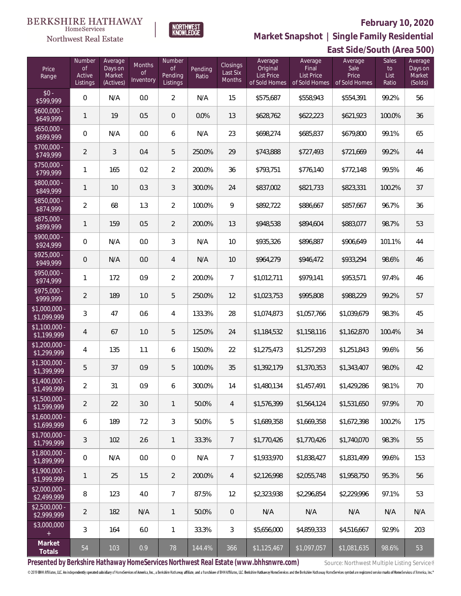

HomeServices **Northwest Real Estate** 

**Market Snapshot | Single Family Residential**

#### **East Side/South (Area 500)** Price Range Number of Active Listings **Number** of Pending Listings Pending Ratio Closings Last Six Months Average Original List Price of Sold Homes Average Final List Price of Sold Homes Sales to List Ratio Average Sale Price of Sold Homes Average Days on Market (Solds) Average Days on Market (Actives) Months of **Inventory**  $$0 - $99$ \$599,999 0 N/A 0.0 2 N/A 15 \$575,687 \$558,943 \$554,391 99.2% 56 \$600,000<br>\$649,999 \$649,999 <sup>1</sup> <sup>19</sup> 0.5 <sup>0</sup> 0.0% <sup>13</sup> \$628,762 \$622,223 \$621,923 100.0% <sup>36</sup> \$650,000<br>\$699.999 \$699,999 0 N/A 0.0 6 N/A 23 \$698,274 \$685,837 \$679,800 99.1% 65 \$700,000 - \$749,999 <sup>2</sup> <sup>3</sup> 0.4 <sup>5</sup> 250.0% <sup>29</sup> \$743,888 \$727,493 \$721,669 99.2% <sup>44</sup> \$750,000 \$799,999 <sup>1</sup> <sup>165</sup> 0.2 <sup>2</sup> 200.0% <sup>36</sup> \$793,751 \$776,140 \$772,148 99.5% <sup>46</sup> \$800,000  $\left[3849,999\right]$  1 | 10 | 0.3 | 3 | 300.0% | 24 | \$837,002 | \$821,733 | \$823,331 | 100.2% | 37 \$850,000<br>\$874,999 \$874,999 <sup>2</sup> <sup>68</sup> 1.3 <sup>2</sup> 100.0% <sup>9</sup> \$892,722 \$886,667 \$857,667 96.7% <sup>36</sup> \$875,000<br>\$899,999 \$899,999 <sup>1</sup> <sup>159</sup> 0.5 <sup>2</sup> 200.0% <sup>13</sup> \$948,538 \$894,604 \$883,077 98.7% <sup>53</sup> \$900,000<br>\$924,999 \$924,999 <sup>0</sup> N/A 0.0 <sup>3</sup> N/A <sup>10</sup> \$935,326 \$896,887 \$906,649 101.1% <sup>44</sup> \$925,000 \$949,999 <sup>0</sup> N/A 0.0 <sup>4</sup> N/A <sup>10</sup> \$964,279 \$946,472 \$933,294 98.6% <sup>46</sup> \$950,000<br>\$974,9<u>9</u>9 \$974,999 <sup>1</sup> <sup>172</sup> 0.9 <sup>2</sup> 200.0% <sup>7</sup> \$1,012,711 \$979,141 \$953,571 97.4% <sup>46</sup> \$975,000 \$999,999 <sup>2</sup> <sup>189</sup> 1.0 <sup>5</sup> 250.0% <sup>12</sup> \$1,023,753 \$995,808 \$988,229 99.2% <sup>57</sup> \$1,000,000 - \$1,099,999 <sup>3</sup> <sup>47</sup> 0.6 <sup>4</sup> 133.3% <sup>28</sup> \$1,074,873 \$1,057,766 \$1,039,679 98.3% <sup>45</sup> \$1,100,000 - \$1,199,999 <sup>4</sup> <sup>67</sup> 1.0 <sup>5</sup> 125.0% <sup>24</sup> \$1,184,532 \$1,158,116 \$1,162,870 100.4% <sup>34</sup> \$1,200,000 - \$1,299,999 <sup>4</sup> <sup>135</sup> 1.1 <sup>6</sup> 150.0% <sup>22</sup> \$1,275,473 \$1,257,293 \$1,251,843 99.6% <sup>56</sup> \$1,300,000 - \$1,399,999 <sup>5</sup> <sup>37</sup> 0.9 <sup>5</sup> 100.0% <sup>35</sup> \$1,392,179 \$1,370,353 \$1,343,407 98.0% <sup>42</sup> \$1,400,000 \$1,499,999 <sup>2</sup> <sup>31</sup> 0.9 <sup>6</sup> 300.0% <sup>14</sup> \$1,480,134 \$1,457,491 \$1,429,286 98.1% <sup>70</sup> \$1,500,000<br>\$1,599,999 \$1,599,999 <sup>2</sup> <sup>22</sup> 3.0 <sup>1</sup> 50.0% <sup>4</sup> \$1,576,399 \$1,564,124 \$1,531,650 97.9% <sup>70</sup> \$1,600,000 - \$1,699,999 6 189 7.2 3 50.0% 5 \$1,689,358 \$1,669,358 \$1,672,398 100.2% 175 \$1,700,000 - \$1,799,999 <sup>3</sup> <sup>102</sup> 2.6 <sup>1</sup> 33.3% <sup>7</sup> \$1,770,426 \$1,770,426 \$1,740,070 98.3% <sup>55</sup> \$1,800,000 - \$1,899,999 0 N/A 0.0 0 N/A 7 \$1,933,970 \$1,838,427 \$1,831,499 99.6% 153 \$1,900,000<br>\$1.999.999 \$1,999,999 <sup>1</sup> <sup>25</sup> 1.5 <sup>2</sup> 200.0% <sup>4</sup> \$2,126,998 \$2,055,748 \$1,958,750 95.3% <sup>56</sup> \$2,000,000 - \$2,499,999 <sup>8</sup> <sup>123</sup> 4.0 <sup>7</sup> 87.5% <sup>12</sup> \$2,323,938 \$2,296,854 \$2,229,996 97.1% <sup>53</sup> \$2,500,000 - \$2,999,999 <sup>2</sup> <sup>182</sup> N/A <sup>1</sup> 50.0% <sup>0</sup> N/A N/A N/A N/A N/A \$3,000,000 3 | 164 | 6.0 | 1 | 33.3% | 3 | \$5,656,000 | \$4,859,333 | \$4,516,667 | 92.9% | 203

**Presented by Berkshire Hathaway HomeServices Northwest Real Estate (www.bhhsnwre.com)** Source: Northwest Multiple Listing Service®

**Market**

© 2019 BHH Affiliates, LLC. An independently operated subsidiary of HomeServices of America, Inc., a Berkshire Hathaway affiliate, and a franchisee of BHH Affiliates, LLC. Berkshire Hathaway HomeServices and the Berkshire

**Totals** <sup>54</sup> <sup>103</sup> 0.9 <sup>78</sup> 144.4% <sup>366</sup> \$1,125,467 \$1,097,057 \$1,081,635 98.6% <sup>53</sup>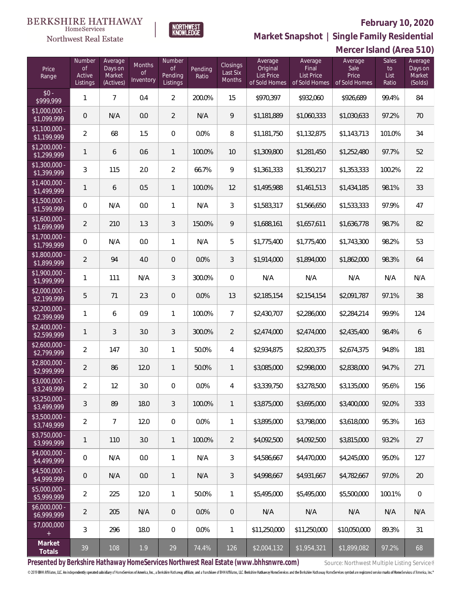

**Market Snapshot | Single Family Residential**

#### **BERKSHIRE HATHAWAY**  $\label{lem:sevices} \textsc{Home} \textsc{Service} \textsc{s}$ Northwest Real Estate

|                                           | Mercer Island (Area 510)           |                                           |                                  |                                     |                  |                                |                                                           |                                                        |                                           |                              |                                         |
|-------------------------------------------|------------------------------------|-------------------------------------------|----------------------------------|-------------------------------------|------------------|--------------------------------|-----------------------------------------------------------|--------------------------------------------------------|-------------------------------------------|------------------------------|-----------------------------------------|
| Price<br>Range                            | Number<br>Οf<br>Active<br>Listings | Average<br>Days on<br>Market<br>(Actives) | Months<br><b>of</b><br>Inventory | Number<br>0f<br>Pending<br>Listings | Pending<br>Ratio | Closings<br>Last Six<br>Months | Average<br>Original<br><b>List Price</b><br>of Sold Homes | Average<br>Final<br><b>List Price</b><br>of Sold Homes | Average<br>Sale<br>Price<br>of Sold Homes | Sales<br>to<br>List<br>Ratio | Average<br>Days on<br>Market<br>(Solds) |
| $$0 -$<br>\$999,999                       | 1                                  | $\overline{7}$                            | 0.4                              | $\overline{2}$                      | 200.0%           | 15                             | \$970,397                                                 | \$932,060                                              | \$926,689                                 | 99.4%                        | 84                                      |
| \$1,000,000 -<br>\$1,099,999              | $\mathsf{O}\xspace$                | N/A                                       | 0.0                              | $\overline{2}$                      | N/A              | 9                              | \$1,181,889                                               | \$1,060,333                                            | \$1,030,633                               | 97.2%                        | 70                                      |
| $$1,100,000$ -<br>\$1,199,999             | $\overline{2}$                     | 68                                        | 1.5                              | $\mathbf 0$                         | 0.0%             | 8                              | \$1,181,750                                               | \$1,132,875                                            | \$1,143,713                               | 101.0%                       | 34                                      |
| $$1,200,000$ -<br>\$1,299,999             | 1                                  | 6                                         | 0.6                              | $\mathbf{1}$                        | 100.0%           | 10                             | \$1,309,800                                               | \$1,281,450                                            | \$1,252,480                               | 97.7%                        | 52                                      |
| $$1,300,000$ -<br>$\sqrt{1,399,999}$      | 3                                  | 115                                       | 2.0                              | $\overline{2}$                      | 66.7%            | 9                              | \$1,361,333                                               | \$1,350,217                                            | \$1,353,333                               | 100.2%                       | 22                                      |
| $$1,400,000$ -<br>\$1,499,999             | 1                                  | 6                                         | 0.5                              | $\mathbf{1}$                        | 100.0%           | 12                             | \$1,495,988                                               | \$1,461,513                                            | \$1,434,185                               | 98.1%                        | 33                                      |
| $$1,500,000$ -<br>$\overline{$1,599,999}$ | $\overline{0}$                     | N/A                                       | 0.0                              | $\mathbf{1}$                        | N/A              | 3                              | \$1,583,317                                               | \$1,566,650                                            | \$1,533,333                               | 97.9%                        | 47                                      |
| \$1,600,000 -<br>\$1,699,999              | 2                                  | 210                                       | 1.3                              | $\mathfrak{Z}$                      | 150.0%           | 9                              | \$1,688,161                                               | \$1,657,611                                            | \$1,636,778                               | 98.7%                        | 82                                      |
| \$1,700,000 -<br>\$1,799,999              | 0                                  | N/A                                       | 0.0                              | $\mathbf{1}$                        | N/A              | 5                              | \$1,775,400                                               | \$1,775,400                                            | \$1,743,300                               | 98.2%                        | 53                                      |
| \$1,800,000 -<br>\$1,899,999              | $\overline{2}$                     | 94                                        | 4.0                              | $\theta$                            | 0.0%             | 3                              | \$1,914,000                                               | \$1,894,000                                            | \$1,862,000                               | 98.3%                        | 64                                      |
| \$1,900,000 -<br>\$1,999,999              | 1                                  | 111                                       | N/A                              | 3                                   | 300.0%           | $\mathbf 0$                    | N/A                                                       | N/A                                                    | N/A                                       | N/A                          | N/A                                     |
| $$2,000,000 -$<br>\$2,199,999             | 5                                  | 71                                        | 2.3                              | $\theta$                            | 0.0%             | 13                             | \$2,185,154                                               | \$2,154,154                                            | \$2,091,787                               | 97.1%                        | 38                                      |
| $$2,200,000 -$<br>\$2,399,999             | 1                                  | 6                                         | 0.9                              | $\mathbf{1}$                        | 100.0%           | $\overline{7}$                 | \$2,430,707                                               | \$2,286,000                                            | \$2,284,214                               | 99.9%                        | 124                                     |
| $$2,400,000 -$<br>\$2,599,999             | 1                                  | 3                                         | 3.0                              | $\mathfrak{Z}$                      | 300.0%           | $\overline{2}$                 | \$2,474,000                                               | \$2,474,000                                            | \$2,435,400                               | 98.4%                        | 6                                       |
| $$2,600,000 -$<br>\$2,799,999             | 2                                  | 147                                       | 3.0                              | $\mathbf{1}$                        | 50.0%            | $\overline{4}$                 | \$2,934,875                                               | \$2,820,375                                            | \$2,674,375                               | 94.8%                        | 181                                     |
| \$2,800,000 -<br>\$2,999,999              | 2                                  | 86                                        | 12.0                             | $\mathbf{1}$                        | 50.0%            | $\mathbf{1}$                   | \$3,085,000                                               | \$2,998,000                                            | \$2,838,000                               | 94.7%                        | 271                                     |
| \$3,000,000<br>\$3,249,999                | 2                                  | 12                                        | 3.0                              | $\overline{0}$                      | 0.0%             | $\overline{4}$                 | \$3,339,750                                               | \$3,278,500                                            | \$3,135,000                               | 95.6%                        | 156                                     |
| $$3,250,000 -$<br>\$3,499,999             | 3                                  | 89                                        | 18.0                             | 3                                   | 100.0%           | $\mathbf{1}$                   | \$3,875,000                                               | \$3,695,000                                            | \$3,400,000                               | 92.0%                        | 333                                     |
| $$3,500,000 -$<br>\$3,749,999             | 2                                  | $\overline{7}$                            | 12.0                             | $\boldsymbol{0}$                    | 0.0%             | 1                              | \$3,895,000                                               | \$3,798,000                                            | \$3,618,000                               | 95.3%                        | 163                                     |
| $$3,750,000 -$<br>\$3,999,999             | 1                                  | 110                                       | 3.0                              | $\mathbf{1}$                        | 100.0%           | $\overline{2}$                 | \$4,092,500                                               | \$4,092,500                                            | \$3,815,000                               | 93.2%                        | 27                                      |
| $$4,000,000 -$<br>\$4,499,999             | $\mathbf{0}$                       | N/A                                       | 0.0                              | $\mathbf{1}$                        | N/A              | 3                              | \$4,586,667                                               | \$4,470,000                                            | \$4,245,000                               | 95.0%                        | 127                                     |
| \$4,500,000 -<br>\$4,999,999              | $\overline{0}$                     | N/A                                       | 0.0                              | $\mathbf{1}$                        | N/A              | $\mathfrak{Z}$                 | \$4,998,667                                               | \$4,931,667                                            | \$4,782,667                               | 97.0%                        | 20                                      |
| $$5,000,000 -$<br>\$5,999,999             | 2                                  | 225                                       | 12.0                             | $\mathbf{1}$                        | 50.0%            | $\mathbf{1}$                   | \$5,495,000                                               | \$5,495,000                                            | \$5,500,000                               | 100.1%                       | $\overline{0}$                          |
| $$6,000,000 -$<br>\$6,999,999             | 2                                  | 205                                       | N/A                              | $\theta$                            | $0.0\%$          | $\theta$                       | N/A                                                       | N/A                                                    | N/A                                       | N/A                          | N/A                                     |
| \$7,000,000                               | 3                                  | 296                                       | 18.0                             | 0                                   | $0.0\%$          | $\mathbf{1}$                   | \$11,250,000                                              | \$11,250,000                                           | \$10,050,000                              | 89.3%                        | 31                                      |
| Market<br>Totals                          | 39                                 | 108                                       | $1.9\,$                          | 29                                  | 74.4%            | 126                            | \$2,004,132                                               | \$1,954,321                                            | \$1,899,082                               | 97.2%                        | 68                                      |

Presented by Berkshire Hathaway HomeServices Northwest Real Estate (www.bhhsnwre.com) Source: Northwest Multiple Listing Service®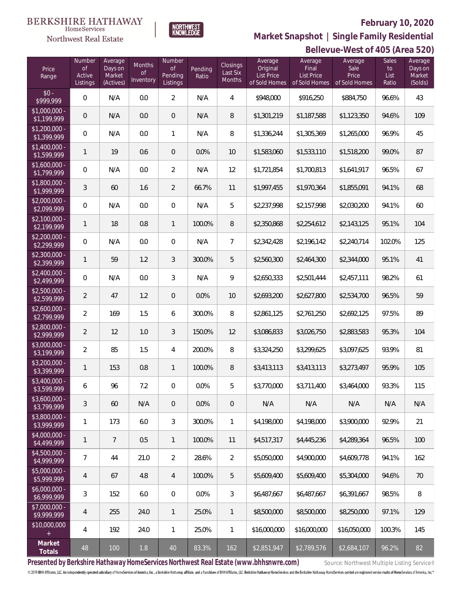

 $\label{lem:sevices} \textsc{Home} \textsc{Service} \textsc{s}$ Northwest Real Estate

**Bellevue-West of 405 (Area 520) Market Snapshot | Single Family Residential**

| Price<br>Range                | Number<br>Οf<br>Active<br>Listings | Average<br>Days on<br>Market<br>(Actives) | Months<br><b>of</b><br>Inventory | Number<br><b>of</b><br>Pending<br>Listings | Pending<br>Ratio | Closings<br>Last Six<br>Months | Average<br>Original<br><b>List Price</b><br>of Sold Homes | Average<br>Final<br><b>List Price</b><br>of Sold Homes | Average<br>Sale<br>Price<br>of Sold Homes | <b>Sales</b><br>to<br>List<br>Ratio | Average<br>Days on<br>Market<br>(Solds) |
|-------------------------------|------------------------------------|-------------------------------------------|----------------------------------|--------------------------------------------|------------------|--------------------------------|-----------------------------------------------------------|--------------------------------------------------------|-------------------------------------------|-------------------------------------|-----------------------------------------|
| $$0 -$<br>\$999,999           | $\overline{0}$                     | N/A                                       | 0.0                              | $\overline{2}$                             | N/A              | 4                              | \$948,000                                                 | \$916,250                                              | \$884,750                                 | 96.6%                               | 43                                      |
| \$1,000,000 -<br>\$1,199,999  | $\mathbf{0}$                       | N/A                                       | 0.0                              | $\overline{0}$                             | N/A              | 8                              | \$1,301,219                                               | \$1,187,588                                            | \$1,123,350                               | 94.6%                               | 109                                     |
| $$1,200,000 -$<br>\$1,399,999 | $\mathbf 0$                        | N/A                                       | 0.0                              | $\mathbf{1}$                               | N/A              | 8                              | \$1,336,244                                               | \$1,305,369                                            | \$1,265,000                               | 96.9%                               | 45                                      |
| $$1,400,000$ -<br>\$1,599,999 | 1                                  | 19                                        | 0.6                              | $\overline{0}$                             | 0.0%             | 10                             | \$1,583,060                                               | \$1,533,110                                            | \$1,518,200                               | 99.0%                               | 87                                      |
| $$1,600,000 -$<br>\$1,799,999 | $\mathbf 0$                        | N/A                                       | 0.0                              | $\overline{2}$                             | N/A              | 12                             | \$1,721,854                                               | \$1,700,813                                            | \$1,641,917                               | 96.5%                               | 67                                      |
| \$1,800,000 -<br>\$1,999,999  | 3                                  | 60                                        | 1.6                              | $\overline{2}$                             | 66.7%            | 11                             | \$1,997,455                                               | \$1,970,364                                            | \$1,855,091                               | 94.1%                               | 68                                      |
| $$2,000,000 -$<br>\$2,099,999 | $\mathbf 0$                        | N/A                                       | 0.0                              | $\overline{0}$                             | N/A              | 5                              | \$2,237,998                                               | \$2,157,998                                            | \$2,030,200                               | 94.1%                               | 60                                      |
| $$2,100,000 -$<br>\$2,199,999 | 1                                  | 18                                        | 0.8                              | $\mathbf{1}$                               | 100.0%           | $\, 8$                         | \$2,350,868                                               | \$2,254,612                                            | \$2,143,125                               | 95.1%                               | 104                                     |
| $$2,200,000 -$<br>\$2,299,999 | $\overline{0}$                     | N/A                                       | 0.0                              | $\overline{0}$                             | N/A              | $\overline{7}$                 | \$2,342,428                                               | \$2,196,142                                            | \$2,240,714                               | 102.0%                              | 125                                     |
| $$2,300,000 -$<br>\$2,399,999 | 1                                  | 59                                        | 1.2                              | 3                                          | 300.0%           | 5                              | \$2,560,300                                               | \$2,464,300                                            | \$2,344,000                               | 95.1%                               | 41                                      |
| $$2,400,000 -$<br>\$2,499,999 | $\mathbf 0$                        | N/A                                       | 0.0                              | 3                                          | N/A              | 9                              | \$2,650,333                                               | \$2,501,444                                            | \$2,457,111                               | 98.2%                               | 61                                      |
| $$2,500,000 -$<br>\$2,599,999 | $\overline{2}$                     | 47                                        | 1.2                              | $\theta$                                   | 0.0%             | 10                             | \$2,693,200                                               | \$2,627,800                                            | \$2,534,700                               | 96.5%                               | 59                                      |
| $$2,600,000 -$<br>\$2,799,999 | 2                                  | 169                                       | 1.5                              | 6                                          | 300.0%           | 8                              | \$2,861,125                                               | \$2,761,250                                            | \$2,692,125                               | 97.5%                               | 89                                      |
| $$2,800,000 -$<br>\$2,999,999 | $\overline{2}$                     | 12                                        | 1.0                              | 3                                          | 150.0%           | 12                             | \$3,086,833                                               | \$3,026,750                                            | \$2,883,583                               | 95.3%                               | 104                                     |
| \$3,000,000 -<br>\$3,199,999  | 2                                  | 85                                        | 1.5                              | 4                                          | 200.0%           | 8                              | \$3,324,250                                               | \$3,299,625                                            | \$3,097,625                               | 93.9%                               | 81                                      |
| $$3,200,000 -$<br>\$3,399,999 | 1                                  | 153                                       | 0.8                              | $\mathbf{1}$                               | 100.0%           | 8                              | \$3,413,113                                               | \$3,413,113                                            | \$3,273,497                               | 95.9%                               | 105                                     |
| \$3,400,000 -<br>\$3,599,999  | 6                                  | 96                                        | 7.2                              | $\theta$                                   | 0.0%             | 5                              | \$3,770,000                                               | \$3,711,400                                            | \$3,464,000                               | 93.3%                               | 115                                     |
| \$3,600,000 -<br>\$3,799,999  | 3                                  | 60                                        | N/A                              | $\overline{0}$                             | 0.0%             | $\overline{0}$                 | N/A                                                       | N/A                                                    | N/A                                       | N/A                                 | N/A                                     |
| \$3,800,000 -<br>\$3,999,999  | 1                                  | 173                                       | 6.0                              | 3                                          | 300.0%           | 1                              | \$4,198,000                                               | \$4,198,000                                            | \$3,900,000                               | 92.9%                               | 21                                      |
| \$4,000,000 -<br>\$4,499,999  | 1                                  | $\overline{7}$                            | 0.5                              | 1                                          | 100.0%           | 11                             | \$4,517,317                                               | \$4,445,236                                            | \$4,289,364                               | 96.5%                               | 100                                     |
| \$4,500,000 -<br>\$4,999,999  | 7                                  | 44                                        | 21.0                             | $\overline{2}$                             | 28.6%            | $\overline{2}$                 | \$5,050,000                                               | \$4,900,000                                            | \$4,609,778                               | 94.1%                               | 162                                     |
| $$5.000.000 -$<br>\$5,999,999 | 4                                  | 67                                        | 4.8                              | $\overline{4}$                             | 100.0%           | 5                              | \$5,609,400                                               | \$5,609,400                                            | \$5,304,000                               | 94.6%                               | 70                                      |
| $$6,000,000 -$<br>\$6,999,999 | 3                                  | 152                                       | 6.0                              | $\overline{0}$                             | 0.0%             | 3                              | \$6,487,667                                               | \$6,487,667                                            | \$6,391,667                               | 98.5%                               | 8                                       |
| \$7,000,000 -<br>\$9,999,999  | 4                                  | 255                                       | 24.0                             | 1                                          | 25.0%            | $\mathbf{1}$                   | \$8,500,000                                               | \$8,500,000                                            | \$8,250,000                               | 97.1%                               | 129                                     |
| \$10,000,000                  | 4                                  | 192                                       | 24.0                             | 1                                          | 25.0%            | $\mathbf{1}$                   | \$16,000,000                                              | \$16,000,000                                           | \$16,050,000                              | 100.3%                              | 145                                     |
| Market<br>Totals              | 48                                 | 100                                       | 1.8                              | 40                                         | 83.3%            | 162                            | \$2,851,947                                               | \$2,789,576                                            | \$2,684,107                               | 96.2%                               | 82                                      |

Presented by Berkshire Hathaway HomeServices Northwest Real Estate (www.bhhsnwre.com) Source: Northwest Multiple Listing Service®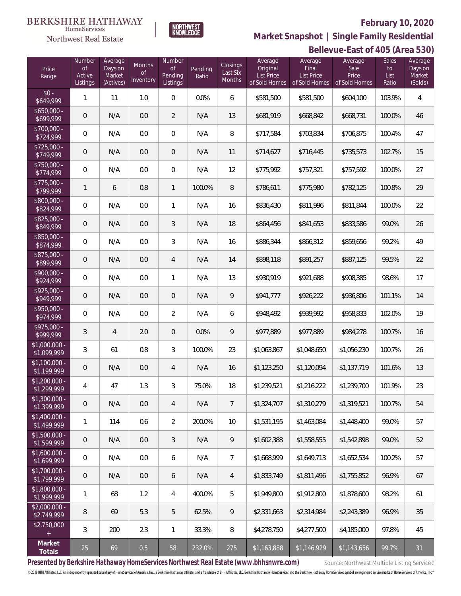

**BERKSHIRE HATHAWAY** 

HomeServices

**Market Snapshot | Single Family Residential**

#### **Northwest Real Estate Bellevue-East of 405 (Area 530)** Number Average Number Average Average Sales Average Average Months Closings Days on Final Sale Price of of Pending Original to Days on of Last Six List Price List Price Price Market Active Market Pending Ratio List Range Inventory Months Listings (Actives) Listings of Sold Homes of Sold Homes of Sold Homes Ratio (Solds)  $$0 - $649.999$ \$649,999 <sup>1</sup> <sup>11</sup> 1.0 <sup>0</sup> 0.0% <sup>6</sup> \$581,500 \$581,500 \$604,100 103.9% <sup>4</sup> \$650,000<br>\$699,999 \$699,999 <sup>0</sup> N/A 0.0 <sup>2</sup> N/A <sup>13</sup> \$681,919 \$668,842 \$668,731 100.0% <sup>46</sup> \$700,000<br>\$724,999 \$724,999 <sup>0</sup> N/A 0.0 <sup>0</sup> N/A <sup>8</sup> \$717,584 \$703,834 \$706,875 100.4% <sup>47</sup> \$725,000 -<br>\$749,999 \$749,999 <sup>0</sup> N/A 0.0 <sup>0</sup> N/A <sup>11</sup> \$714,627 \$716,445 \$735,573 102.7% <sup>15</sup> \$750,000<br>\$774.999 \$774,999 <sup>0</sup> N/A 0.0 <sup>0</sup> N/A <sup>12</sup> \$775,992 \$757,321 \$757,592 100.0% <sup>27</sup> \$775,000 -<br>\$799,999 \$799,999 <sup>1</sup> <sup>6</sup> 0.8 <sup>1</sup> 100.0% <sup>8</sup> \$786,611 \$775,980 \$782,125 100.8% <sup>29</sup> \$800,000<br>\$824,999 \$824,999 0 N/A 0.0 1 N/A 16 \$836,430 \$811,996 \$811,844 100.0% 22 \$825,000 -<br>\$849,999 \$849,999 0 N/A 0.0 3 N/A 18 \$864,456 \$841,653 \$833,586 99.0% 26 \$850,000 \$874,999 0 N/A 0.0 3 N/A 16 \$886,344 \$866,312 \$859,656 99.2% 49 \$875,000 \$899,999 0 N/A 0.0 4 N/A 14 \$898,118 \$891,257 \$887,125 99.5% 22 \$900,000 - \$924,999 0 N/A 0.0 1 N/A 13 \$930,919 \$921,688 \$908,385 98.6% 17 \$925,000 -<br>\$949,999 \$949,999 0 N/A 0.0 0 N/A 9 \$941,777 \$926,222 \$936,806 101.1% 14 \$950,000 - \$974,999 0 N/A 0.0 2 N/A 6 \$948,492 \$939,992 \$958,833 102.0% 19 \$975,000 - \$999,999 <sup>3</sup> <sup>4</sup> 2.0 <sup>0</sup> 0.0% <sup>9</sup> \$977,889 \$977,889 \$984,278 100.7% <sup>16</sup> \$1,000,000 - \$1,100,000 -

| $$1,000,000 -$<br>\$1,099,999        | 3              | 61  | 0.8 | 3              | 100.0% | 23             | \$1,063,867 | \$1,048,650 | \$1,056,230 | 100.7% | 26 |
|--------------------------------------|----------------|-----|-----|----------------|--------|----------------|-------------|-------------|-------------|--------|----|
| $$1,100,000 -$<br>\$1,199,999        | $\theta$       | N/A | 0.0 | $\overline{4}$ | N/A    | 16             | \$1,123,250 | \$1,120,094 | \$1,137,719 | 101.6% | 13 |
| $$1,200,000 -$<br>\$1,299,999        | 4              | 47  | 1.3 | 3              | 75.0%  | 18             | \$1,239,521 | \$1,216,222 | \$1,239,700 | 101.9% | 23 |
| $$1,300,000 -$<br>\$1,399,999        | $\theta$       | N/A | 0.0 | $\overline{4}$ | N/A    | $\overline{7}$ | \$1,324,707 | \$1,310,279 | \$1,319,521 | 100.7% | 54 |
| $$1,400,000 -$<br>\$1,499,999        | 1              | 114 | 0.6 | $\overline{2}$ | 200.0% | 10             | \$1,531,195 | \$1,463,084 | \$1,448,400 | 99.0%  | 57 |
| $$1,500,000 -$<br>\$1,599,999        | $\overline{0}$ | N/A | 0.0 | 3              | N/A    | 9              | \$1,602,388 | \$1,558,555 | \$1,542,898 | 99.0%  | 52 |
| $$1,600,000 -$<br>\$1,699,999        | $\mathbf 0$    | N/A | 0.0 | 6              | N/A    | $\overline{7}$ | \$1,668,999 | \$1,649,713 | \$1,652,534 | 100.2% | 57 |
| $$1,700,000 -$<br>$\sqrt{1,799,999}$ | $\mathbf 0$    | N/A | 0.0 | 6              | N/A    | $\overline{4}$ | \$1,833,749 | \$1,811,496 | \$1,755,852 | 96.9%  | 67 |
| $$1,800,000 -$<br>\$1,999,999        | 1              | 68  | 1.2 | $\overline{4}$ | 400.0% | 5              | \$1,949,800 | \$1,912,800 | \$1,878,600 | 98.2%  | 61 |
| $$2,000,000 -$<br>\$2,749,999        | $\, 8$         | 69  | 5.3 | 5              | 62.5%  | 9              | \$2,331,663 | \$2,314,984 | \$2,243,389 | 96.9%  | 35 |
| \$2,750,000                          | 3              | 200 | 2.3 |                | 33.3%  | 8              | \$4,278,750 | \$4,277,500 | \$4,185,000 | 97.8%  | 45 |
| Market<br>Totals                     | 25             | 69  | 0.5 | 58             | 232.0% | 275            | \$1,163,888 | \$1,146,929 | \$1,143,656 | 99.7%  | 31 |

Presented by Berkshire Hathaway HomeServices Northwest Real Estate (www.bhhsnwre.com) Source: Northwest Multiple Listing Service®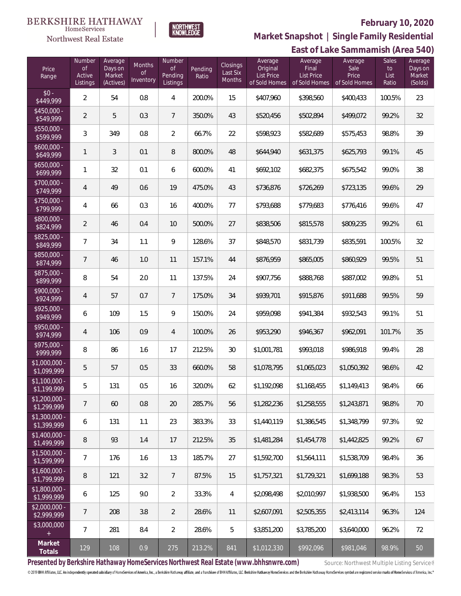

**BERKSHIRE HATHAWAY** 

HomeServices **Northwest Real Estate** 

**Market Snapshot | Single Family Residential**

#### **East of Lake Sammamish (Area 540)** Price Range Number of Active Listings **Number** of Pending Listings Pending Ratio Closings Last Six Months Average Original List Price of Sold Homes **Average** Final List Price of Sold Homes Sales to List Ratio Average Sale Price of Sold Homes Average Days on Market (Solds) Average Days on Market (Actives) Months of **Inventory**  $$0 - $449.999$  $\frac{1}{3449,999}$  2 54 0.8 4 200.0% 15 \$407,960 \$398,560 \$400,433 100.5% 23 \$450,000<br>\$549,999 \$549,999 <sup>2</sup> <sup>5</sup> 0.3 <sup>7</sup> 350.0% <sup>43</sup> \$520,456 \$502,894 \$499,072 99.2% <sup>32</sup> \$550,000<br>\$599,999 \$599,999 <sup>3</sup> <sup>349</sup> 0.8 <sup>2</sup> 66.7% <sup>22</sup> \$598,923 \$582,689 \$575,453 98.8% <sup>39</sup> \$600,000 \$649,999 <sup>1</sup> <sup>3</sup> 0.1 <sup>8</sup> 800.0% <sup>48</sup> \$644,940 \$631,375 \$625,793 99.1% <sup>45</sup> \$650,000 \$699,999 <sup>1</sup> <sup>32</sup> 0.1 <sup>6</sup> 600.0% <sup>41</sup> \$692,102 \$682,375 \$675,542 99.0% <sup>38</sup> \$700,000 \$749,999 <sup>4</sup> <sup>49</sup> 0.6 <sup>19</sup> 475.0% <sup>43</sup> \$736,876 \$726,269 \$723,135 99.6% <sup>29</sup> \$750,000<br>\$799,999 \$799,999 <sup>4</sup> <sup>66</sup> 0.3 <sup>16</sup> 400.0% <sup>77</sup> \$793,688 \$779,683 \$776,416 99.6% <sup>47</sup> \$800,000<br>\$824,999 \$824,999 <sup>2</sup> <sup>46</sup> 0.4 <sup>10</sup> 500.0% <sup>27</sup> \$838,506 \$815,578 \$809,235 99.2% <sup>61</sup> \$825,000<br>\$849,999 \$849,999 <sup>7</sup> <sup>34</sup> 1.1 <sup>9</sup> 128.6% <sup>37</sup> \$848,570 \$831,739 \$835,591 100.5% <sup>32</sup> \$850,000 - \$874,999 <sup>7</sup> <sup>46</sup> 1.0 <sup>11</sup> 157.1% <sup>44</sup> \$876,959 \$865,005 \$860,929 99.5% <sup>51</sup> \$875,000<br>\$899,999 **\$899,999** 8 54 2.0 11 137.5% 24 \$907,756 \$888,768 \$887,002 99.8% 51 \$900,000 \$924,999 <sup>4</sup> <sup>57</sup> 0.7 <sup>7</sup> 175.0% <sup>34</sup> \$939,701 \$915,876 \$911,688 99.5% <sup>59</sup> \$925,000 - \$949,999 <sup>6</sup> <sup>109</sup> 1.5 <sup>9</sup> 150.0% <sup>24</sup> \$959,098 \$941,384 \$932,543 99.1% <sup>51</sup> \$950,000 - \$974,999 <sup>4</sup> <sup>106</sup> 0.9 <sup>4</sup> 100.0% <sup>26</sup> \$953,290 \$946,367 \$962,091 101.7% <sup>35</sup> \$975,000 \$999,999 <sup>8</sup> <sup>86</sup> 1.6 <sup>17</sup> 212.5% <sup>30</sup> \$1,001,781 \$993,018 \$986,918 99.4% <sup>28</sup> \$1,000,000 - \$1,099,999 <sup>5</sup> <sup>57</sup> 0.5 <sup>33</sup> 660.0% <sup>58</sup> \$1,078,795 \$1,065,023 \$1,050,392 98.6% <sup>42</sup> \$1,100,000 \$1,199,999 <sup>5</sup> <sup>131</sup> 0.5 <sup>16</sup> 320.0% <sup>62</sup> \$1,192,098 \$1,168,455 \$1,149,413 98.4% <sup>66</sup> \$1,200,000<br>\$1,299,999 \$1,299,999 <sup>7</sup> <sup>60</sup> 0.8 <sup>20</sup> 285.7% <sup>56</sup> \$1,282,236 \$1,258,555 \$1,243,871 98.8% <sup>70</sup> \$1,300,000 -<br>\$1,399,999  $\textcolor{red}{\mathbf{3.399.999}}$  6 131 1.1 23 383.3% 33 \$1,440,119 \$1,386,545 \$1,348,799 97.3% 92 \$1,400,000 - \$1,499,999 <sup>8</sup> <sup>93</sup> 1.4 <sup>17</sup> 212.5% <sup>35</sup> \$1,481,284 \$1,454,778 \$1,442,825 99.2% <sup>67</sup> \$1,500,000 - \$1,599,999 <sup>7</sup> <sup>176</sup> 1.6 <sup>13</sup> 185.7% <sup>27</sup> \$1,592,700 \$1,564,111 \$1,538,709 98.4% <sup>36</sup> \$1,600,000<br>\$1,799,999 \$1,799,999 <sup>8</sup> <sup>121</sup> 3.2 <sup>7</sup> 87.5% <sup>15</sup> \$1,757,321 \$1,729,321 \$1,699,188 98.3% <sup>53</sup> \$1,800,000 -<br>\$1,999,999 \$1,999,999 <sup>6</sup> <sup>125</sup> 9.0 <sup>2</sup> 33.3% <sup>4</sup> \$2,098,498 \$2,010,997 \$1,938,500 96.4% <sup>153</sup> \$2,000,000 - \$2,999,999 7 208 3.8 2 28.6% 11 \$2,607,091 \$2,505,355 \$2,413,114 96.3% 124 \$3,000,000 7 | 281 | 8.4 | 2 | 28.6% | 5 | \$3,851,200 | \$3,785,200 | \$3,640,000 | 96.2% | 72 **Market Totals** <sup>129</sup> <sup>108</sup> 0.9 <sup>275</sup> 213.2% <sup>841</sup> \$1,012,330 \$992,096 \$981,046 98.9% <sup>50</sup>

**Presented by Berkshire Hathaway HomeServices Northwest Real Estate (www.bhhsnwre.com)** Source: Northwest Multiple Listing Service®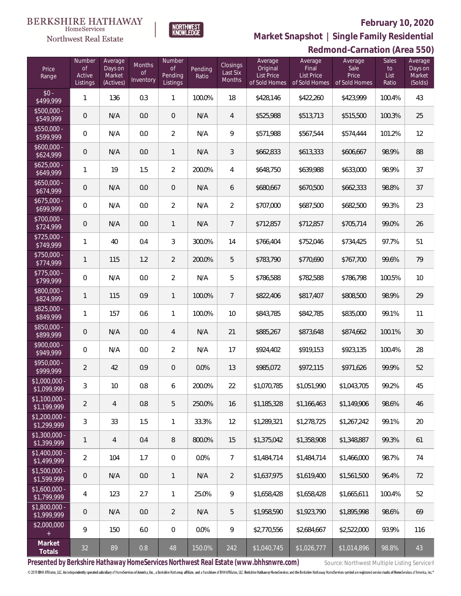

**HomeServices** 

**Market Snapshot | Single Family Residential**

#### **Northwest Real Estate Redmond-Carnation (Area 550)** Number Average Number Average Average Sales Average Average Months Closings Days on Final Sale Price of of Pending Original to Days on of Last Six Pending List Price List Price Price Active Market Ratio List Market Range **Inventory** Months of Sold Homes Listings (Actives) Listings of Sold Homes of Sold Homes Ratio (Solds)  $$0 - $499.999$ \$499,999 <sup>1</sup> <sup>136</sup> 0.3 <sup>1</sup> 100.0% <sup>18</sup> \$428,146 \$422,260 \$423,999 100.4% <sup>43</sup> \$500,000<br>\$549,999 \$549,999 0 N/A 0.0 0 N/A 4 \$525,988 \$513,713 \$515,500 100.3% 25 \$550,000<br>\$599,999 \$599,999 0 N/A 0.0 2 N/A 9 \$571,988 \$567,544 \$574,444 101.2% 12 \$600,000<br>\$624,999 \$624,999 0 N/A 0.0 1 N/A 3 \$662,833 \$613,333 \$606,667 98.9% 88 \$625,000<br>\$649.999  $\left[3649,999\right]$  1 | 19 | 1.5 | 2 | 200.0% | 4 | \$648,750 | \$639,988 | \$633,000 | 98.9% | 37 \$650,000 -<br>\$674,999 \$674,999 0 N/A 0.0 0 N/A 6 \$680,667 \$670,500 \$662,333 98.8% 37 \$675,000<br>\$699,999 \$699,999 0 N/A 0.0 2 N/A 2 \$707,000 \$687,500 \$682,500 99.3% 23 \$700,000 \$724,999 0 N/A 0.0 1 N/A 7 \$712,857 \$712,857 \$705,714 99.0% 26  $$725,000 \times $749,999$ \$749,999 <sup>1</sup> <sup>40</sup> 0.4 <sup>3</sup> 300.0% <sup>14</sup> \$766,404 \$752,046 \$734,425 97.7% <sup>51</sup> \$750,000 -<br>\$774,999 \$774,999 <sup>1</sup> <sup>115</sup> 1.2 <sup>2</sup> 200.0% <sup>5</sup> \$783,790 \$770,690 \$767,700 99.6% <sup>79</sup> \$775,000<br>\$799,999 \$799,999 0 N/A 0.0 2 N/A 5 \$786,588 \$782,588 \$786,798 100.5% 10 \$800,000 \$824,999 <sup>1</sup> <sup>115</sup> 0.9 <sup>1</sup> 100.0% <sup>7</sup> \$822,406 \$817,407 \$808,500 98.9% <sup>29</sup> \$825,000 - \$849,999 <sup>1</sup> <sup>157</sup> 0.6 <sup>1</sup> 100.0% <sup>10</sup> \$843,785 \$842,785 \$835,000 99.1% <sup>11</sup> \$850,000 - \$899,999 0 N/A 0.0 4 N/A 21 \$885,267 \$873,648 \$874,662 100.1% 30 \$900,000 \$949,999 <sup>0</sup> N/A 0.0 <sup>2</sup> N/A <sup>17</sup> \$924,402 \$919,153 \$923,135 100.4% <sup>28</sup> \$950,000 - \$999,999 <sup>2</sup> <sup>42</sup> 0.9 <sup>0</sup> 0.0% <sup>13</sup> \$985,072 \$972,115 \$971,626 99.9% <sup>52</sup> \$1,000,000 \$1,099,999 <sup>3</sup> <sup>10</sup> 0.8 <sup>6</sup> 200.0% <sup>22</sup> \$1,070,785 \$1,051,990 \$1,043,705 99.2% <sup>45</sup> \$1,100,000<br>\$1,199,999 \$1,199,999 <sup>2</sup> <sup>4</sup> 0.8 <sup>5</sup> 250.0% <sup>16</sup> \$1,185,328 \$1,166,463 \$1,149,906 98.6% <sup>46</sup> \$1,200,000 -<br>\$1,299,999

| .<br>\$1.599.999              |    | N/A | 0.0 |          | N/A     | ↷   | \$1,637,975                                                                           | \$1,619,400 | \$1,561,500                                 | 96.4%  | 72  |
|-------------------------------|----|-----|-----|----------|---------|-----|---------------------------------------------------------------------------------------|-------------|---------------------------------------------|--------|-----|
| $$1,600,000 -$<br>\$1,799,999 | 4  | 123 | 2.7 |          | 25.0%   | 9   | \$1,658,428                                                                           | \$1,658,428 | \$1,665,611                                 | 100.4% | 52  |
| $$1,800,000 -$<br>\$1,999,999 |    | N/A | 0.0 |          | N/A     | 5   | \$1,958.590                                                                           | \$1,923,790 | \$1,895,998                                 | 98.6%  | 69  |
| \$2,000,000<br>$+$            |    | 150 | 6.0 | $\Omega$ | $0.0\%$ | 9   | \$2,770,556                                                                           | \$2.684.667 | \$2,522,000                                 | 93.9%  | 116 |
| Market<br>Totals              | 32 | 89  | 0.8 | 48       | 150.0%  | 242 | \$1,040,745                                                                           | \$1,026,777 | \$1,014,896                                 | 98.8%  | 43  |
|                               |    |     |     |          |         |     | Drocontod by Porkshiro Hathaway HamoCorvices Northwest Doal Estate (www.bbbspwro.com) |             | Correspondent and Middle Delayers Completed |        |     |

 $\textcolor{red}{\mathbf{[3]}}_3\textcolor{red}{\mathbf{[3]}}_2\textcolor{red}{\mathbf{[3]}}_3\textcolor{red}{\mathbf{[3]}}_3\textcolor{red}{\mathbf{[3]}}_1\textcolor{red}{\mathbf{[3]}}_5\textcolor{red}{\mathbf{[3]}}_1\textcolor{red}{\mathbf{[3]}}_3\textcolor{red}{\mathbf{[3]}}_3\textcolor{red}{\mathbf{[3]}}_2\textcolor{red}{\mathbf{[3]}}_1\textcolor{red}{\mathbf{[3]}}_2\textcolor{red}{\mathbf{[3]}}_3\textcolor{red}{\mathbf{[3$ 

\$1,399,999 <sup>1</sup> <sup>4</sup> 0.4 <sup>8</sup> 800.0% <sup>15</sup> \$1,375,042 \$1,358,908 \$1,348,887 99.3% <sup>61</sup>

\$1,499,999 <sup>2</sup> <sup>104</sup> 1.7 <sup>0</sup> 0.0% <sup>7</sup> \$1,484,714 \$1,484,714 \$1,466,000 98.7% <sup>74</sup>

**Presented by Berkshire Hathaway HomeServices Northwest Real Estate (www.bhhsnwre.com)** Source: Northwest Multiple Listing Service®

\$1,300,000<br>\$1.399.999

\$1,400,000 -<br>\$1.499.999

\$1,500,000<br>\$1,599,999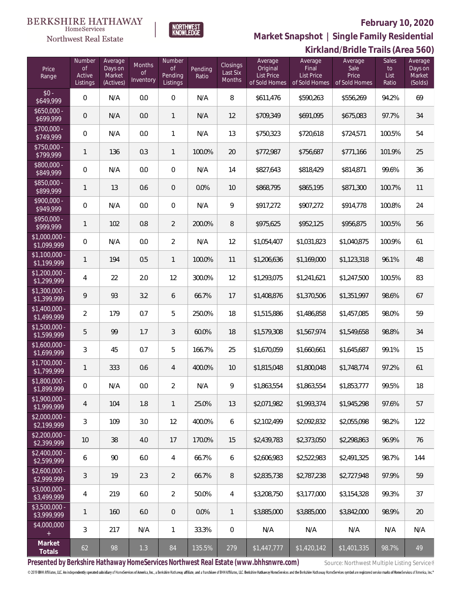

 $\label{lem:sevices} \textsc{Home} \textsc{Service} \textsc{s}$ 

**Market Snapshot | Single Family Residential**

|                               | Kirkland/Bridle Trails (Area 560)         |                                           |                           |                                            |                  |                                       |                                                           |                                                 |                                           |                                     |                                         |
|-------------------------------|-------------------------------------------|-------------------------------------------|---------------------------|--------------------------------------------|------------------|---------------------------------------|-----------------------------------------------------------|-------------------------------------------------|-------------------------------------------|-------------------------------------|-----------------------------------------|
| Price<br>Range                | Number<br><b>of</b><br>Active<br>Listings | Average<br>Days on<br>Market<br>(Actives) | Months<br>0f<br>Inventory | Number<br>$\circ$ f<br>Pending<br>Listings | Pending<br>Ratio | <b>Closings</b><br>Last Six<br>Months | Average<br>Original<br><b>List Price</b><br>of Sold Homes | Average<br>Final<br>List Price<br>of Sold Homes | Average<br>Sale<br>Price<br>of Sold Homes | <b>Sales</b><br>to<br>List<br>Ratio | Average<br>Days on<br>Market<br>(Solds) |
| $$0 -$<br>\$649,999           | $\mathbf 0$                               | N/A                                       | 0.0                       | $\boldsymbol{0}$                           | N/A              | 8                                     | \$611,476                                                 | \$590,263                                       | \$556,269                                 | 94.2%                               | 69                                      |
| $$650,000 -$<br>\$699,999     | $\boldsymbol{0}$                          | N/A                                       | 0.0                       | $\mathbf{1}$                               | N/A              | 12                                    | \$709,349                                                 | \$691,095                                       | \$675,083                                 | 97.7%                               | 34                                      |
| \$700,000 -<br>\$749,999      | $\mathbb O$                               | N/A                                       | 0.0                       | $\mathbf{1}$                               | N/A              | 13                                    | \$750,323                                                 | \$720,618                                       | \$724,571                                 | 100.5%                              | 54                                      |
| \$750,000 -<br>\$799,999      | $\mathbf{1}$                              | 136                                       | 0.3                       | $\mathbf{1}$                               | 100.0%           | 20                                    | \$772,987                                                 | \$756,687                                       | \$771,166                                 | 101.9%                              | 25                                      |
| \$800,000 -<br>\$849,999      | $\mathbb O$                               | N/A                                       | 0.0                       | $\,0\,$                                    | N/A              | 14                                    | \$827,643                                                 | \$818,429                                       | \$814,871                                 | 99.6%                               | 36                                      |
| \$850,000 -<br>\$899,999      | $\mathbf{1}$                              | 13                                        | 0.6                       | $\mathbf 0$                                | 0.0%             | 10                                    | \$868,795                                                 | \$865,195                                       | \$871,300                                 | 100.7%                              | 11                                      |
| \$900,000 -<br>\$949,999      | $\mathbb O$                               | N/A                                       | 0.0                       | $\boldsymbol{0}$                           | N/A              | $\mathsf q$                           | \$917,272                                                 | \$907,272                                       | \$914,778                                 | 100.8%                              | 24                                      |
| \$950,000 -<br>\$999,999      | $\mathbf{1}$                              | 102                                       | 0.8                       | $\overline{2}$                             | 200.0%           | 8                                     | \$975,625                                                 | \$952,125                                       | \$956,875                                 | 100.5%                              | 56                                      |
| \$1,000,000 -<br>\$1,099,999  | $\mathbf 0$                               | N/A                                       | 0.0                       | $\overline{2}$                             | N/A              | 12                                    | \$1,054,407                                               | \$1,031,823                                     | \$1,040,875                               | 100.9%                              | 61                                      |
| $$1,100,000$ -<br>\$1,199,999 | $\mathbf{1}$                              | 194                                       | 0.5                       | $\mathbf{1}$                               | 100.0%           | 11                                    | \$1,206,636                                               | \$1,169,000                                     | \$1,123,318                               | 96.1%                               | 48                                      |
| $$1,200,000$ -<br>\$1,299,999 | 4                                         | 22                                        | 2.0                       | 12                                         | 300.0%           | 12                                    | \$1,293,075                                               | \$1,241,621                                     | \$1,247,500                               | 100.5%                              | 83                                      |
| $$1,300,000$ -<br>\$1,399,999 | $\circ$                                   | 93                                        | 3.2                       | 6                                          | 66.7%            | 17                                    | \$1,408,876                                               | \$1,370,506                                     | \$1,351,997                               | 98.6%                               | 67                                      |
| $$1,400,000$ -<br>\$1,499,999 | 2                                         | 179                                       | 0.7                       | 5                                          | 250.0%           | 18                                    | \$1,515,886                                               | \$1,486,858                                     | \$1,457,085                               | 98.0%                               | 59                                      |
| $$1,500,000$ -<br>\$1,599,999 | 5                                         | 99                                        | 1.7                       | $\mathfrak{Z}$                             | 60.0%            | 18                                    | \$1,579,308                                               | \$1,567,974                                     | \$1,549,658                               | 98.8%                               | 34                                      |
| \$1,600,000 -<br>\$1,699,999  | 3                                         | 45                                        | 0.7                       | 5                                          | 166.7%           | 25                                    | \$1,670,059                                               | \$1,660,661                                     | \$1,645,687                               | 99.1%                               | 15                                      |
| \$1,700,000 -<br>\$1,799,999  | 1                                         | 333                                       | 0.6                       | $\overline{4}$                             | 400.0%           | 10                                    | \$1,815,048                                               | \$1,800,048                                     | \$1,748,774                               | 97.2%                               | 61                                      |
| \$1,800,000<br>\$1,899,999    | $\mathbf 0$                               | N/A                                       | 0.0                       | 2                                          | N/A              | 9                                     | \$1,863,554                                               | \$1,863,554                                     | \$1,853,777                               | 99.5%                               | 18                                      |
| $$1,900,000$ -<br>\$1,999,999 | 4                                         | 104                                       | 1.8                       | $\mathbf{1}$                               | 25.0%            | 13                                    | \$2,071,982                                               | \$1,993,374                                     | \$1,945,298                               | 97.6%                               | 57                                      |
| $$2,000,000 -$<br>\$2,199,999 | 3                                         | 109                                       | 3.0                       | 12                                         | 400.0%           | 6                                     | \$2,102,499                                               | \$2,092,832                                     | \$2,055,098                               | 98.2%                               | 122                                     |
| $$2,200,000 -$<br>\$2,399,999 | 10                                        | 38                                        | 4.0                       | 17                                         | 170.0%           | 15                                    | \$2,439,783                                               | \$2,373,050                                     | \$2,298,863                               | 96.9%                               | 76                                      |
| $$2,400,000 -$<br>\$2,599,999 | 6                                         | 90                                        | 6.0                       | $\overline{4}$                             | 66.7%            | 6                                     | \$2,606,983                                               | \$2,522,983                                     | \$2,491,325                               | 98.7%                               | 144                                     |
| $$2,600,000 -$<br>\$2,999,999 | 3                                         | 19                                        | 2.3                       | $\overline{2}$                             | 66.7%            | $\, 8$                                | \$2,835,738                                               | \$2,787,238                                     | \$2,727,948                               | 97.9%                               | 59                                      |
| $$3,000,000 -$<br>\$3,499,999 | 4                                         | 219                                       | 6.0                       | $\overline{2}$                             | 50.0%            | 4                                     | \$3,208,750                                               | \$3,177,000                                     | \$3,154,328                               | 99.3%                               | 37                                      |
| $$3,500,000 -$<br>\$3,999,999 | 1                                         | 160                                       | 6.0                       | $\overline{0}$                             | 0.0%             | $\mathbf{1}$                          | \$3,885,000                                               | \$3,885,000                                     | \$3,842,000                               | 98.9%                               | 20                                      |
| \$4,000,000<br>$^{+}$         | 3                                         | 217                                       | N/A                       | $\mathbf{1}$                               | 33.3%            | $\mathbf 0$                           | N/A                                                       | N/A                                             | N/A                                       | N/A                                 | N/A                                     |
| Market<br>Totals              | 62                                        | 98                                        | 1.3                       | 84                                         | 135.5%           | 279                                   | \$1,447,777                                               | \$1,420,142                                     | \$1,401,335                               | 98.7%                               | 49                                      |

Presented by Berkshire Hathaway HomeServices Northwest Real Estate (www.bhhsnwre.com) Source: Northwest Multiple Listing Service®